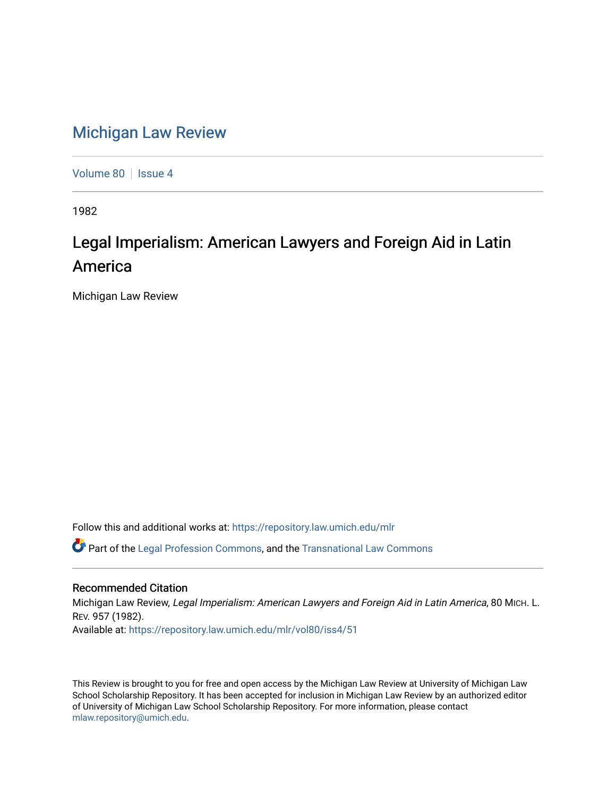## [Michigan Law Review](https://repository.law.umich.edu/mlr)

[Volume 80](https://repository.law.umich.edu/mlr/vol80) | [Issue 4](https://repository.law.umich.edu/mlr/vol80/iss4)

1982

## Legal Imperialism: American Lawyers and Foreign Aid in Latin America

Michigan Law Review

Follow this and additional works at: [https://repository.law.umich.edu/mlr](https://repository.law.umich.edu/mlr?utm_source=repository.law.umich.edu%2Fmlr%2Fvol80%2Fiss4%2F51&utm_medium=PDF&utm_campaign=PDFCoverPages) 

 $\bullet$  Part of the [Legal Profession Commons](http://network.bepress.com/hgg/discipline/1075?utm_source=repository.law.umich.edu%2Fmlr%2Fvol80%2Fiss4%2F51&utm_medium=PDF&utm_campaign=PDFCoverPages), and the [Transnational Law Commons](http://network.bepress.com/hgg/discipline/1123?utm_source=repository.law.umich.edu%2Fmlr%2Fvol80%2Fiss4%2F51&utm_medium=PDF&utm_campaign=PDFCoverPages)

## Recommended Citation

Michigan Law Review, Legal Imperialism: American Lawyers and Foreign Aid in Latin America, 80 MICH. L. REV. 957 (1982). Available at: [https://repository.law.umich.edu/mlr/vol80/iss4/51](https://repository.law.umich.edu/mlr/vol80/iss4/51?utm_source=repository.law.umich.edu%2Fmlr%2Fvol80%2Fiss4%2F51&utm_medium=PDF&utm_campaign=PDFCoverPages) 

This Review is brought to you for free and open access by the Michigan Law Review at University of Michigan Law School Scholarship Repository. It has been accepted for inclusion in Michigan Law Review by an authorized editor of University of Michigan Law School Scholarship Repository. For more information, please contact [mlaw.repository@umich.edu.](mailto:mlaw.repository@umich.edu)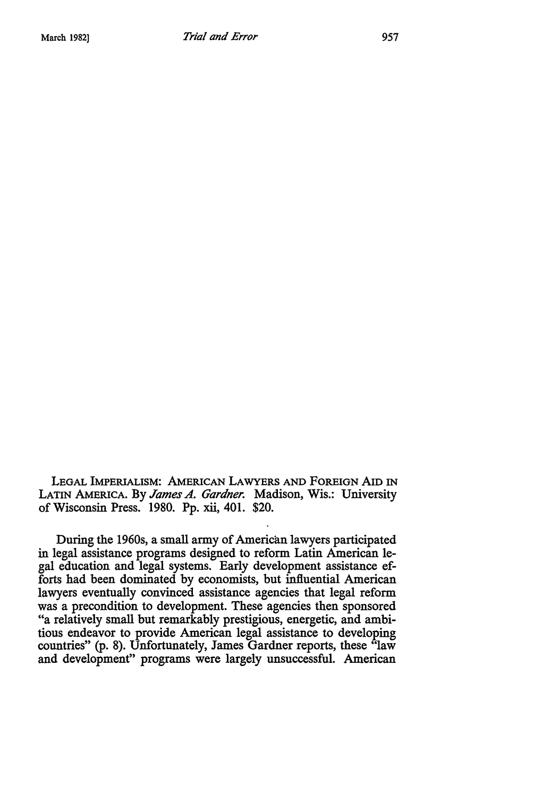LEGAL IMPERIALISM: AMERICAN LAWYERS AND FOREIGN AID IN LATIN AMERICA. By *James A. Gardner.* Madison, Wis.: University of Wisconsin Press. 1980. Pp. xii, 401. \$20.

During the 1960s, a small army of American lawyers participated in legal assistance programs designed to reform Latin American legal education and legal systems. Early development assistance efforts had been dominated by economists, but influential American lawyers eventually convinced assistance agencies that legal reform was a precondition to development. These agencies then sponsored "a relatively small but remarkably prestigious, energetic, and ambitious endeavor to provide American legal assistance to developing countries" (p. 8). Unfortunately, James Gardner reports, these "law and development" programs were largely unsuccessful. American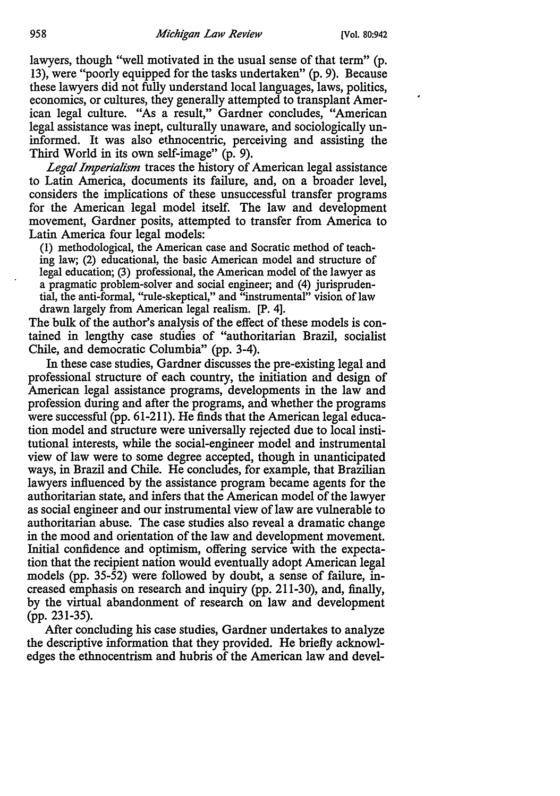lawyers, though "well motivated in the usual sense of that term" (p. 13), were "poorly equipped for the tasks undertaken" (p. 9). Because these lawyers did not fully understand local languages, laws, politics, economics, or cultures, they generally attempted to transplant American legal culture. "As a result," Gardner concludes, "American legal assistance was inept, culturally unaware, and sociologically uninformed. It was also ethnocentric, perceiving and assisting the Third World in its own self-image" (p. 9).

*Legal Imperialism* traces the history of American legal assistance to Latin America, documents its failure, and, on a broader level, considers the implications of these unsuccessful transfer programs for the American legal model itself. The law and development movement, Gardner posits, attempted to transfer from America to Latin America four legal models:

(1) methodological, the American case and Socratic method of teaching law; (2) educational, the basic American model and structure of legal education; (3) professional, the American model of the lawyer as a pragmatic problem-solver and social engineer; and (4) jurisprudential, the anti-formal, "rule-skeptical," and "instrumental" vision of law drawn largely from American legal realism. [P. 4].

The bulk of the author's analysis of the effect of these models is contained in lengthy case studies of "authoritarian Brazil, socialist Chile, and democratic Columbia" (pp. 3-4).

In these case studies, Gardner discusses the pre-existing legal and professional structure of each country, the initiation and design of American legal assistance programs, developments in the law and profession during and after the programs, and whether the programs were successful (pp. 61-211). He finds that the American legal education model and structure were universally rejected due to local institutional interests, while the social-engineer model and instrumental view of law were to some degree accepted, though in unanticipated ways, in Brazil and Chile. He concludes, for example, that Brazilian lawyers influenced by the assistance program became agents for the authoritarian state, and infers that the American model of the lawyer as social engineer and our instrumental view of law are vulnerable to authoritarian abuse. The case studies also reveal a dramatic change in the mood and orientation of the law and development movement. Initial confidence and optimism, offering service with the expectation that the recipient nation would eventually adopt American legal models (pp. 35-52) were followed by doubt, a sense of failure, increased emphasis on research and inquiry (pp. 211-30), and, finally, by the virtual abandonment of research on law and development (pp. 231-35).

After concluding his case studies, Gardner undertakes to analyze the descriptive information that they provided. He briefly acknowledges the ethnocentrism and hubris of the American law and devel-